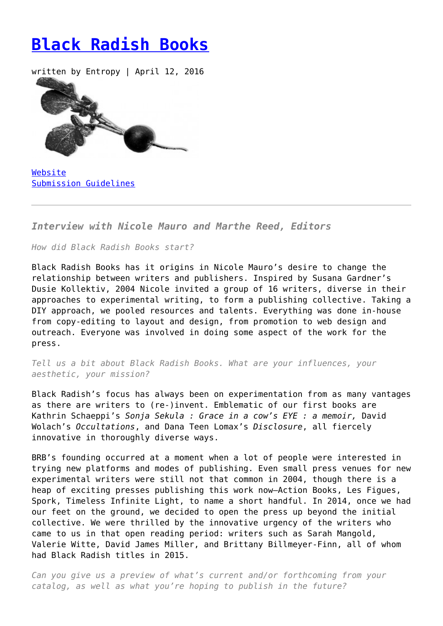## **[Black Radish Books](https://entropymag.org/black-radish-books/)**

written by Entropy | April 12, 2016



[Website](http://blackradishbooks.com/) [Submission Guidelines](http://blackradishbooks.com/black-radish-books-submissons/)

*Interview with Nicole Mauro and Marthe Reed, Editors*

*How did Black Radish Books start?*

Black Radish Books has it origins in Nicole Mauro's desire to change the relationship between writers and publishers. Inspired by Susana Gardner's Dusie Kollektiv, 2004 Nicole invited a group of 16 writers, diverse in their approaches to experimental writing, to form a publishing collective. Taking a DIY approach, we pooled resources and talents. Everything was done in-house from copy-editing to layout and design, from promotion to web design and outreach. Everyone was involved in doing some aspect of the work for the press.

*Tell us a bit about Black Radish Books. What are your influences, your aesthetic, your mission?*

Black Radish's focus has always been on experimentation from as many vantages as there are writers to (re-)invent. Emblematic of our first books are Kathrin Schaeppi's *Sonja Sekula : Grace in a cow's EYE : a memoir,* David Wolach's *Occultations*, and Dana Teen Lomax's *Disclosure*, all fiercely innovative in thoroughly diverse ways.

BRB's founding occurred at a moment when a lot of people were interested in trying new platforms and modes of publishing. Even small press venues for new experimental writers were still not that common in 2004, though there is a heap of exciting presses publishing this work now–Action Books, Les Figues, Spork, Timeless Infinite Light, to name a short handful. In 2014, once we had our feet on the ground, we decided to open the press up beyond the initial collective. We were thrilled by the innovative urgency of the writers who came to us in that open reading period: writers such as Sarah Mangold, Valerie Witte, David James Miller, and Brittany Billmeyer-Finn, all of whom had Black Radish titles in 2015.

*Can you give us a preview of what's current and/or forthcoming from your catalog, as well as what you're hoping to publish in the future?*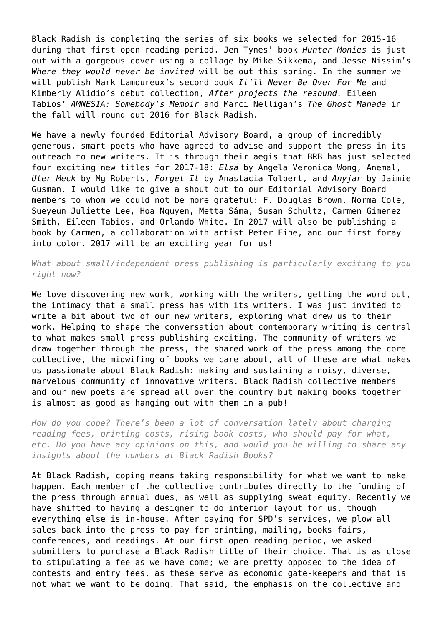Black Radish is completing the series of six books we selected for 2015-16 during that first open reading period. Jen Tynes' book *Hunter Monies* is just out with a gorgeous cover using a collage by Mike Sikkema, and Jesse Nissim's *Where they would never be invited* will be out this spring. In the summer we will publish Mark Lamoureux's second book *It'll Never Be Over For Me* and Kimberly Alidio's debut collection, *After projects the resound.* Eileen Tabios' *AMNESIA: Somebody's Memoir* and Marci Nelligan's *The Ghost Manada* in the fall will round out 2016 for Black Radish.

We have a newly founded Editorial Advisory Board, a group of incredibly generous, smart poets who have agreed to advise and support the press in its outreach to new writers. It is through their aegis that BRB has just selected four exciting new titles for 2017-18: *Elsa* by Angela Veronica Wong, Anemal, *Uter Meck* by Mg Roberts, *Forget It* by Anastacia Tolbert, and *Anyjar* by Jaimie Gusman. I would like to give a shout out to our Editorial Advisory Board members to whom we could not be more grateful: F. Douglas Brown, Norma Cole, Sueyeun Juliette Lee, Hoa Nguyen, Metta Sáma, Susan Schultz, Carmen Gimenez Smith, Eileen Tabios, and Orlando White. In 2017 will also be publishing a book by Carmen, a collaboration with artist Peter Fine, and our first foray into color. 2017 will be an exciting year for us!

*What about small/independent press publishing is particularly exciting to you right now?*

We love discovering new work, working with the writers, getting the word out, the intimacy that a small press has with its writers. I was just invited to write a bit about two of our new writers, exploring what drew us to their work. Helping to shape the conversation about contemporary writing is central to what makes small press publishing exciting. The community of writers we draw together through the press, the shared work of the press among the core collective, the midwifing of books we care about, all of these are what makes us passionate about Black Radish: making and sustaining a noisy, diverse, marvelous community of innovative writers. Black Radish collective members and our new poets are spread all over the country but making books together is almost as good as hanging out with them in a pub!

*How do you cope? There's been a lot of conversation lately about charging reading fees, printing costs, rising book costs, who should pay for what, etc. Do you have any opinions on this, and would you be willing to share any insights about the numbers at Black Radish Books?*

At Black Radish, coping means taking responsibility for what we want to make happen. Each member of the collective contributes directly to the funding of the press through annual dues, as well as supplying sweat equity. Recently we have shifted to having a designer to do interior layout for us, though everything else is in-house. After paying for SPD's services, we plow all sales back into the press to pay for printing, mailing, books fairs, conferences, and readings. At our first open reading period, we asked submitters to purchase a Black Radish title of their choice. That is as close to stipulating a fee as we have come; we are pretty opposed to the idea of contests and entry fees, as these serve as economic gate-keepers and that is not what we want to be doing. That said, the emphasis on the collective and